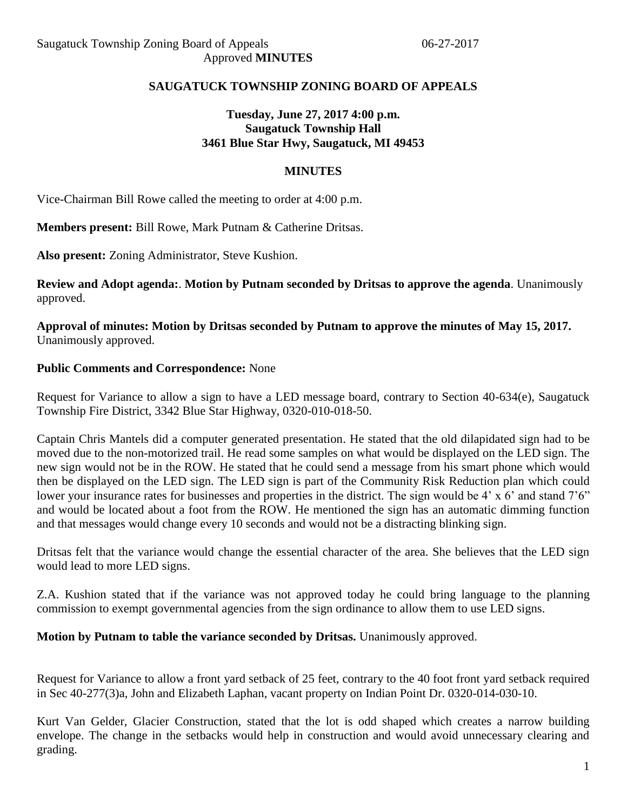# **SAUGATUCK TOWNSHIP ZONING BOARD OF APPEALS**

# **Tuesday, June 27, 2017 4:00 p.m. Saugatuck Township Hall 3461 Blue Star Hwy, Saugatuck, MI 49453**

## **MINUTES**

Vice-Chairman Bill Rowe called the meeting to order at 4:00 p.m.

**Members present:** Bill Rowe, Mark Putnam & Catherine Dritsas.

**Also present:** Zoning Administrator, Steve Kushion.

**Review and Adopt agenda:**. **Motion by Putnam seconded by Dritsas to approve the agenda**. Unanimously approved.

**Approval of minutes: Motion by Dritsas seconded by Putnam to approve the minutes of May 15, 2017.** Unanimously approved.

#### **Public Comments and Correspondence:** None

Request for Variance to allow a sign to have a LED message board, contrary to Section 40-634(e), Saugatuck Township Fire District, 3342 Blue Star Highway, 0320-010-018-50.

Captain Chris Mantels did a computer generated presentation. He stated that the old dilapidated sign had to be moved due to the non-motorized trail. He read some samples on what would be displayed on the LED sign. The new sign would not be in the ROW. He stated that he could send a message from his smart phone which would then be displayed on the LED sign. The LED sign is part of the Community Risk Reduction plan which could lower your insurance rates for businesses and properties in the district. The sign would be 4' x 6' and stand 7'6" and would be located about a foot from the ROW. He mentioned the sign has an automatic dimming function and that messages would change every 10 seconds and would not be a distracting blinking sign.

Dritsas felt that the variance would change the essential character of the area. She believes that the LED sign would lead to more LED signs.

Z.A. Kushion stated that if the variance was not approved today he could bring language to the planning commission to exempt governmental agencies from the sign ordinance to allow them to use LED signs.

#### **Motion by Putnam to table the variance seconded by Dritsas.** Unanimously approved.

Request for Variance to allow a front yard setback of 25 feet, contrary to the 40 foot front yard setback required in Sec 40-277(3)a, John and Elizabeth Laphan, vacant property on Indian Point Dr. 0320-014-030-10.

Kurt Van Gelder, Glacier Construction, stated that the lot is odd shaped which creates a narrow building envelope. The change in the setbacks would help in construction and would avoid unnecessary clearing and grading.